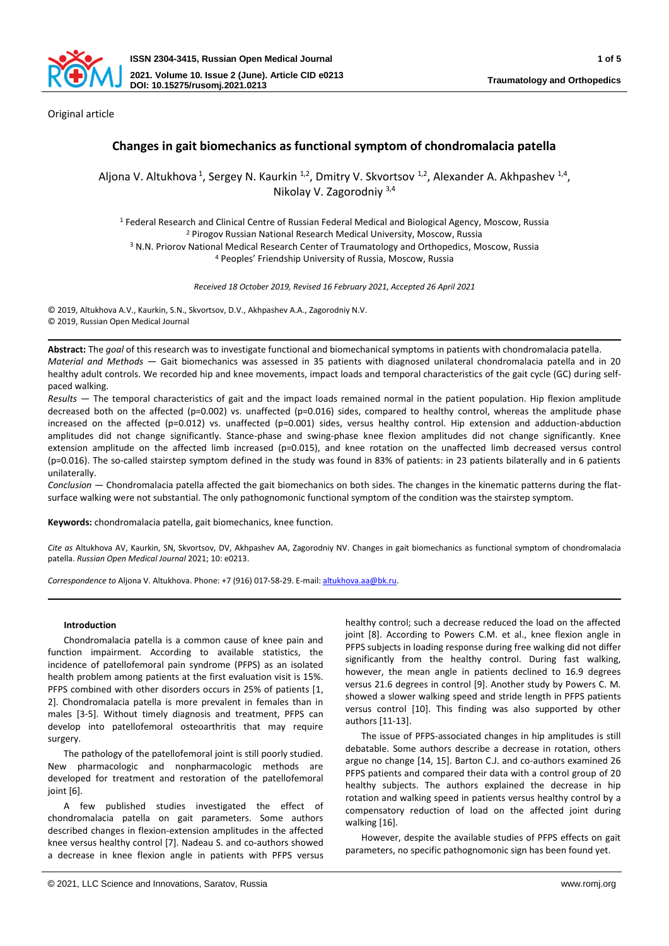

Original article

# **Changes in gait biomechanics as functional symptom of chondromalacia patella**

Aljona V. Altukhova<sup>1</sup>, Sergey N. Kaurkin <sup>1,2</sup>, Dmitry V. Skvortsov <sup>1,2</sup>, Alexander A. Akhpashev <sup>1,4</sup>, Nikolay V. Zagorodniy 3,4

<sup>1</sup> Federal Research and Clinical Centre of Russian Federal Medical and Biological Agency, Moscow, Russia <sup>2</sup> Pirogov Russian National Research Medical University, Moscow, Russia

<sup>3</sup> N.N. Priorov National Medical Research Center of Traumatology and Orthopedics, Moscow, Russia <sup>4</sup> Peoples' Friendship University of Russia, Moscow, Russia

*Received 18 October 2019, Revised 16 February 2021, Accepted 26 April 2021*

© 2019, Altukhova A.V., Kaurkin, S.N., Skvortsov, D.V., Akhpashev А.А., Zagorodniy N.V. © 2019, Russian Open Medical Journal

**Abstract:** The *goal* of this research was to investigate functional and biomechanical symptoms in patients with chondromalacia patella. *Material and Methods* — Gait biomechanics was assessed in 35 patients with diagnosed unilateral chondromalacia patella and in 20 healthy adult controls. We recorded hip and knee movements, impact loads and temporal characteristics of the gait cycle (GC) during selfpaced walking.

*Results* — The temporal characteristics of gait and the impact loads remained normal in the patient population. Hip flexion amplitude decreased both on the affected (p=0.002) vs. unaffected (p=0.016) sides, compared to healthy control, whereas the amplitude phase increased on the affected (p=0.012) vs. unaffected (p=0.001) sides, versus healthy control. Hip extension and adduction-abduction amplitudes did not change significantly. Stance-phase and swing-phase knee flexion amplitudes did not change significantly. Knee extension amplitude on the affected limb increased (p=0.015), and knee rotation on the unaffected limb decreased versus control (p=0.016). The so-called stairstep symptom defined in the study was found in 83% of patients: in 23 patients bilaterally and in 6 patients unilaterally.

*Conclusion* — Chondromalacia patella affected the gait biomechanics on both sides. The changes in the kinematic patterns during the flatsurface walking were not substantial. The only pathognomonic functional symptom of the condition was the stairstep symptom.

**Keywords:** chondromalacia patella, gait biomechanics, knee function.

*Cite as* Altukhova AV, Kaurkin, SN, Skvortsov, DV, Akhpashev АА, Zagorodniy NV. Changes in gait biomechanics as functional symptom of chondromalacia patella. *Russian Open Medical Journal* 2021; 10: e0213.

*Correspondence to* Aljona V. Altukhova. Phone: +7 (916) 017-58-29. E-mail: [altukhova.aa@bk.ru.](mailto:altukhova.aa@bk.ru)

## **Introduction**

Chondromalacia patella is a common cause of knee pain and function impairment. According to available statistics, the incidence of patellofemoral pain syndrome (PFPS) as an isolated health problem among patients at the first evaluation visit is 15%. PFPS combined with other disorders occurs in 25% of patients [1, 2]. Chondromalacia patella is more prevalent in females than in males [3-5]. Without timely diagnosis and treatment, PFPS can develop into patellofemoral osteoarthritis that may require surgery.

The pathology of the patellofemoral joint is still poorly studied. New pharmacologic and nonpharmacologic methods are developed for treatment and restoration of the patellofemoral ioint [6].

A few published studies investigated the effect of chondromalacia patella on gait parameters. Some authors described changes in flexion-extension amplitudes in the affected knee versus healthy control [7]. Nadeau S. and co-authors showed a decrease in knee flexion angle in patients with PFPS versus

healthy control; such a decrease reduced the load on the affected joint [8]. According to Powers C.M. et al., knee flexion angle in PFPS subjects in loading response during free walking did not differ significantly from the healthy control. During fast walking, however, the mean angle in patients declined to 16.9 degrees versus 21.6 degrees in control [9]. Another study by Powers C. M. showed a slower walking speed and stride length in PFPS patients versus control [10]. This finding was also supported by other authors [11-13].

The issue of PFPS-associated changes in hip amplitudes is still debatable. Some authors describe a decrease in rotation, others argue no change [14, 15]. Barton C.J. and co-authors examined 26 PFPS patients and compared their data with a control group of 20 healthy subjects. The authors explained the decrease in hip rotation and walking speed in patients versus healthy control by a compensatory reduction of load on the affected joint during walking [16].

However, despite the available studies of PFPS effects on gait parameters, no specific pathognomonic sign has been found yet.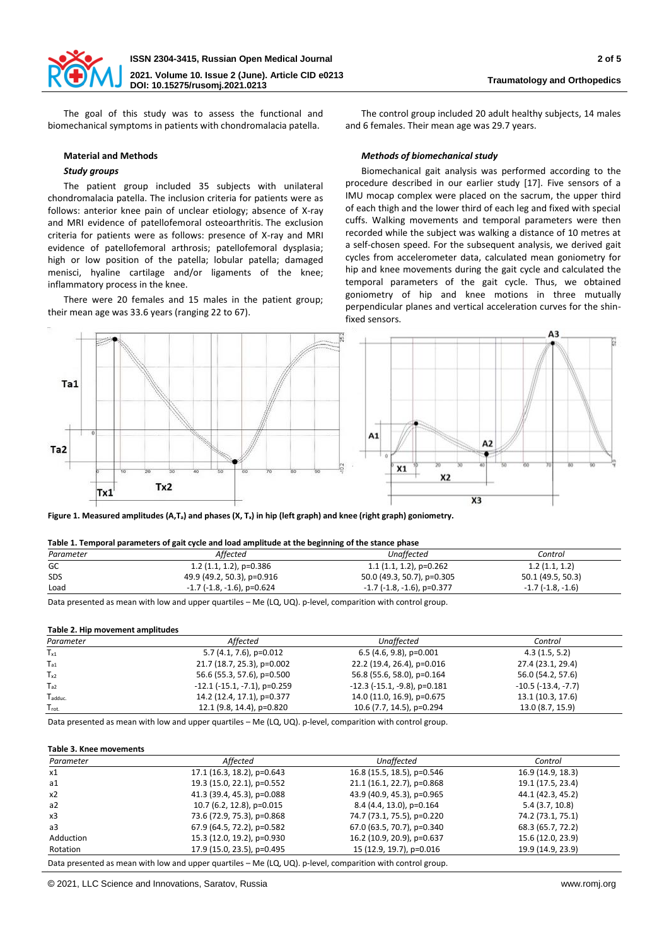

The goal of this study was to assess the functional and biomechanical symptoms in patients with chondromalacia patella.

#### **Material and Methods**

## *Study groups*

The patient group included 35 subjects with unilateral chondromalacia patella. The inclusion criteria for patients were as follows: anterior knee pain of unclear etiology; absence of X-ray and MRI evidence of patellofemoral osteoarthritis. The exclusion criteria for patients were as follows: presence of X-ray and MRI evidence of patellofemoral arthrosis; patellofemoral dysplasia; high or low position of the patella; lobular patella; damaged menisci, hyaline cartilage and/or ligaments of the knee; inflammatory process in the knee.

There were 20 females and 15 males in the patient group; their mean age was 33.6 years (ranging 22 to 67).

The control group included 20 adult healthy subjects, 14 males and 6 females. Their mean age was 29.7 years.

### *Methods of biomechanical study*

Biomechanical gait analysis was performed according to the procedure described in our earlier study [17]. Five sensors of a IMU mocap complex were placed on the sacrum, the upper third of each thigh and the lower third of each leg and fixed with special cuffs. Walking movements and temporal parameters were then recorded while the subject was walking a distance of 10 metres at a self-chosen speed. For the subsequent analysis, we derived gait cycles from accelerometer data, calculated mean goniometry for hip and knee movements during the gait cycle and calculated the temporal parameters of the gait cycle. Thus, we obtained goniometry of hip and knee motions in three mutually perpendicular planes and vertical acceleration curves for the shinfixed sensors.



**Figure 1. Measured amplitudes (A,Ta) and phases (Х, Tx) in hip (left graph) and knee (right graph) goniometry.**

#### **Table 1. Temporal parameters of gait cycle and load amplitude at the beginning of the stance phase**

| Control                    |
|----------------------------|
| 1.2(1.1, 1.2)              |
| 50.1 (49.5, 50.3)          |
| $-1.7$ ( $-1.8$ , $-1.6$ ) |
|                            |

Data presented as mean with low and upper quartiles – Me (LQ, UQ). p-level, comparition with control group.

#### **Table 2. Hip movement amplitudes**

| Parameter          | Affected                              | Unaffected                            | Control                      |
|--------------------|---------------------------------------|---------------------------------------|------------------------------|
| $T_{x1}$           | $5.7(4.1, 7.6)$ , p=0.012             | $6.5$ (4.6, 9.8), p=0.001             | 4.3(1.5, 5.2)                |
| $T_{a1}$           | 21.7 (18.7, 25.3), p=0.002            | 22.2 (19.4, 26.4), p=0.016            | 27.4 (23.1, 29.4)            |
| $T_{x2}$           | 56.6 (55.3, 57.6), p=0.500            | 56.8 (55.6, 58.0), p=0.164            | 56.0 (54.2, 57.6)            |
| $T_{a2}$           | $-12.1$ ( $-15.1$ , $-7.1$ ), p=0.259 | $-12.3$ ( $-15.1$ , $-9.8$ ), p=0.181 | $-10.5$ ( $-13.4$ , $-7.7$ ) |
| T <sub>adduc</sub> | 14.2 (12.4, 17.1), p=0.377            | 14.0 (11.0, 16.9), p=0.675            | 13.1 (10.3, 17.6)            |
| $T_{rot.}$         | 12.1 (9.8, 14.4), p=0.820             | 10.6 (7.7, 14.5), p=0.294             | 13.0 (8.7, 15.9)             |
|                    |                                       |                                       |                              |

Data presented as mean with low and upper quartiles – Me (LQ, UQ). p-level, comparition with control group.

## **Table 3. Knee movements**

| Parameter | Affected                   | Unaffected                 | Control           |
|-----------|----------------------------|----------------------------|-------------------|
| x1        | 17.1 (16.3, 18.2), p=0.643 | 16.8 (15.5, 18.5), p=0.546 | 16.9 (14.9, 18.3) |
| a1        | 19.3 (15.0, 22.1), p=0.552 | 21.1 (16.1, 22.7), p=0.868 | 19.1 (17.5, 23.4) |
| x2        | 41.3 (39.4, 45.3), p=0.088 | 43.9 (40.9, 45.3), p=0.965 | 44.1 (42.3, 45.2) |
| a2        | 10.7 (6.2, 12.8), p=0.015  | 8.4 (4.4, 13.0), p=0.164   | 5.4(3.7, 10.8)    |
| x3        | 73.6 (72.9, 75.3), p=0.868 | 74.7 (73.1, 75.5), p=0.220 | 74.2 (73.1, 75.1) |
| a3        | 67.9 (64.5, 72.2), p=0.582 | 67.0 (63.5, 70.7), p=0.340 | 68.3 (65.7, 72.2) |
| Adduction | 15.3 (12.0, 19.2), p=0.930 | 16.2 (10.9, 20.9), p=0.637 | 15.6 (12.0, 23.9) |
| Rotation  | 17.9 (15.0, 23.5), p=0.495 | 15 (12.9, 19.7), p=0.016   | 19.9 (14.9, 23.9) |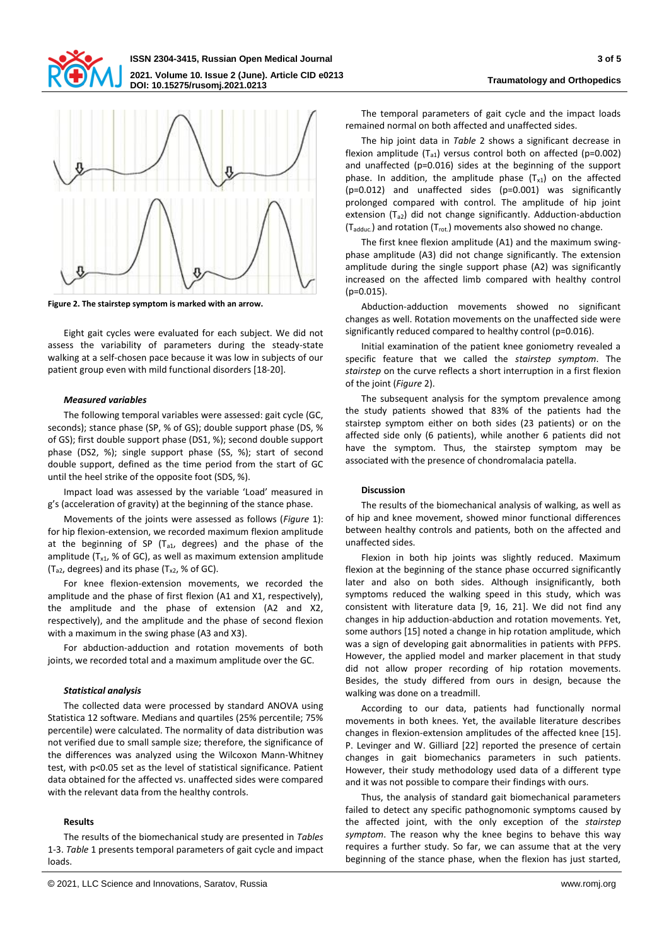



**Figure 2. The stairstep symptom is marked with an arrow.**

Eight gait cycles were evaluated for each subject. We did not assess the variability of parameters during the steady-state walking at a self-chosen pace because it was low in subjects of our patient group even with mild functional disorders [18-20].

#### *Measured variables*

The following temporal variables were assessed: gait cycle (GC, seconds); stance phase (SP, % of GS); double support phase (DS, % of GS); first double support phase (DS1, %); second double support phase (DS2, %); single support phase (SS, %); start of second double support, defined as the time period from the start of GC until the heel strike of the opposite foot (SDS, %).

Impact load was assessed by the variable 'Load' measured in g's (acceleration of gravity) at the beginning of the stance phase.

Movements of the joints were assessed as follows (*Figure* 1): for hip flexion-extension, we recorded maximum flexion amplitude at the beginning of SP ( $T_{a1}$ , degrees) and the phase of the amplitude ( $T_{x1}$ , % of GC), as well as maximum extension amplitude ( $T_{a2}$ , degrees) and its phase ( $T_{x2}$ , % of GC).

For knee flexion-extension movements, we recorded the amplitude and the phase of first flexion (A1 and X1, respectively), the amplitude and the phase of extension (A2 and X2, respectively), and the amplitude and the phase of second flexion with a maximum in the swing phase (A3 and X3).

For abduction-adduction and rotation movements of both joints, we recorded total and a maximum amplitude over the GC.

#### *Statistical analysis*

The collected data were processed by standard ANOVA using Statistica 12 software. Medians and quartiles (25% percentile; 75% percentile) were calculated. The normality of data distribution was not verified due to small sample size; therefore, the significance of the differences was analyzed using the Wilcoxon Mann-Whitney test, with p<0.05 set as the level of statistical significance. Patient data obtained for the affected vs. unaffected sides were compared with the relevant data from the healthy controls.

#### **Results**

The results of the biomechanical study are presented in *Tables* 1-3. *Table* 1 presents temporal parameters of gait cycle and impact loads.

The temporal parameters of gait cycle and the impact loads remained normal on both affected and unaffected sides.

The hip joint data in *Table* 2 shows a significant decrease in flexion amplitude  $(T_{a1})$  versus control both on affected (p=0.002) and unaffected (p=0.016) sides at the beginning of the support phase. In addition, the amplitude phase  $(T<sub>x1</sub>)$  on the affected (p=0.012) and unaffected sides (p=0.001) was significantly prolonged compared with control. The amplitude of hip joint extension  $(T_{a2})$  did not change significantly. Adduction-abduction  $(T_{\text{adduc.}})$  and rotation  $(T_{\text{rot.}})$  movements also showed no change.

The first knee flexion amplitude (A1) and the maximum swingphase amplitude (A3) did not change significantly. The extension amplitude during the single support phase (A2) was significantly increased on the affected limb compared with healthy control (p=0.015).

Abduction-adduction movements showed no significant changes as well. Rotation movements on the unaffected side were significantly reduced compared to healthy control (p=0.016).

Initial examination of the patient knee goniometry revealed a specific feature that we called the *stairstep symptom*. The *stairstep* on the curve reflects a short interruption in a first flexion of the joint (*Figure* 2).

The subsequent analysis for the symptom prevalence among the study patients showed that 83% of the patients had the stairstep symptom either on both sides (23 patients) or on the affected side only (6 patients), while another 6 patients did not have the symptom. Thus, the stairstep symptom may be associated with the presence of chondromalacia patella.

#### **Discussion**

The results of the biomechanical analysis of walking, as well as of hip and knee movement, showed minor functional differences between healthy controls and patients, both on the affected and unaffected sides.

Flexion in both hip joints was slightly reduced. Maximum flexion at the beginning of the stance phase occurred significantly later and also on both sides. Although insignificantly, both symptoms reduced the walking speed in this study, which was consistent with literature data [9, 16, 21]. We did not find any changes in hip adduction-abduction and rotation movements. Yet, some authors [15] noted a change in hip rotation amplitude, which was a sign of developing gait abnormalities in patients with PFPS. However, the applied model and marker placement in that study did not allow proper recording of hip rotation movements. Besides, the study differed from ours in design, because the walking was done on a treadmill.

According to our data, patients had functionally normal movements in both knees. Yet, the available literature describes changes in flexion-extension amplitudes of the affected knee [15]. P. Levinger and W. Gilliard [22] reported the presence of certain changes in gait biomechanics parameters in such patients. However, their study methodology used data of a different type and it was not possible to compare their findings with ours.

Thus, the analysis of standard gait biomechanical parameters failed to detect any specific pathognomonic symptoms caused by the affected joint, with the only exception of the *stairstep symptom*. The reason why the knee begins to behave this way requires a further study. So far, we can assume that at the very beginning of the stance phase, when the flexion has just started,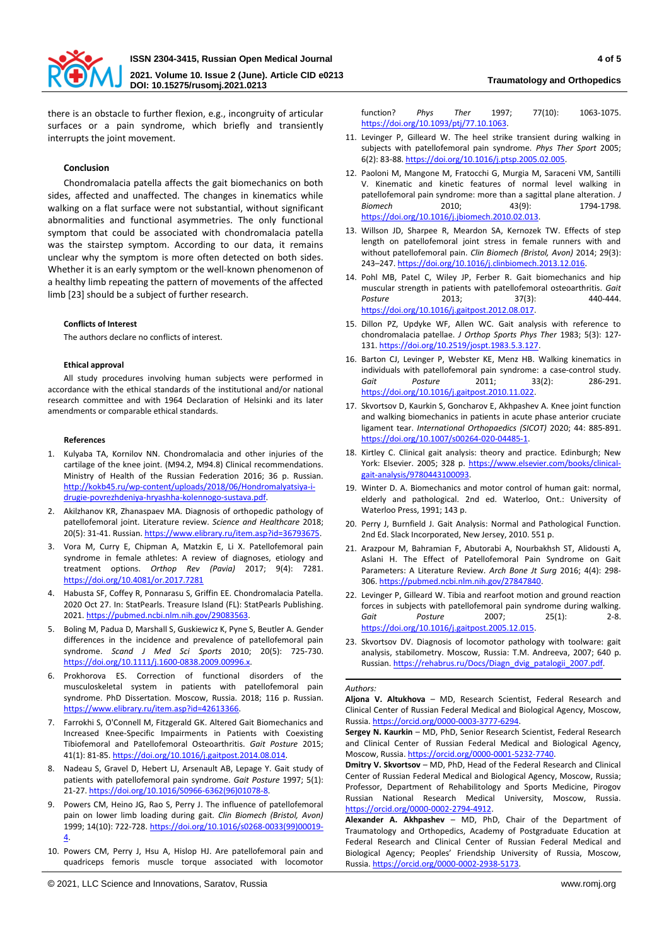

there is an obstacle to further flexion, e.g., incongruity of articular surfaces or a pain syndrome, which briefly and transiently interrupts the joint movement.

#### **Conclusion**

Chondromalacia patella affects the gait biomechanics on both sides, affected and unaffected. The changes in kinematics while walking on a flat surface were not substantial, without significant abnormalities and functional asymmetries. The only functional symptom that could be associated with chondromalacia patella was the stairstep symptom. According to our data, it remains unclear why the symptom is more often detected on both sides. Whether it is an early symptom or the well-known phenomenon of a healthy limb repeating the pattern of movements of the affected limb [23] should be a subject of further research.

#### **Conflicts of Interest**

The authors declare no conflicts of interest.

#### **Ethical approval**

All study procedures involving human subjects were performed in accordance with the ethical standards of the institutional and/or national research committee and with 1964 Declaration of Helsinki and its later amendments or comparable ethical standards.

#### **References**

- 1. Kulyaba TA, Kornilov NN. Chondromalacia and other injuries of the cartilage of the knee joint. (M94.2, M94.8) Clinical recommendations. Ministry of Health of the Russian Federation 2016; 36 p. Russian. [http://kokb45.ru/wp-content/uploads/2018/06/Hondromalyatsiya-i](http://kokb45.ru/wp-content/uploads/2018/06/Hondromalyatsiya-i-drugie-povrezhdeniya-hryashha-kolennogo-sustava.pdf)[drugie-povrezhdeniya-hryashha-kolennogo-sustava.pdf.](http://kokb45.ru/wp-content/uploads/2018/06/Hondromalyatsiya-i-drugie-povrezhdeniya-hryashha-kolennogo-sustava.pdf)
- 2. Akilzhanov KR, Zhanaspaev MA. Diagnosis of orthopedic pathology of patellofemoral joint. Literature review. *Science and Healthcare* 2018; 20(5): 31-41. Russian. https://www.elibrary.ru/item.asp?id=36793675.
- 3. Vora M, Curry E, Chipman A, Matzkin E, Li X. Patellofemoral pain syndrome in female athletes: A review of diagnoses, etiology and treatment options. *Orthop Rev (Pavia)* 2017; 9(4): 7281. <https://doi.org/10.4081/or.2017.7281>
- 4. Habusta SF, Coffey R, Ponnarasu S, Griffin EE. Chondromalacia Patella. 2020 Oct 27. In: StatPearls. Treasure Island (FL): StatPearls Publishing. 2021. [https://pubmed.ncbi.nlm.nih.gov/29083563.](https://pubmed.ncbi.nlm.nih.gov/29083563)
- 5. Boling M, Padua D, Marshall S, Guskiewicz K, Pyne S, Beutler A. Gender differences in the incidence and prevalence of patellofemoral pain syndrome. *Scand J Med Sci Sports* 2010; 20(5): 725-730. [https://doi.org/10.1111/j.1600-0838.2009.00996.x.](https://doi.org/10.1111/j.1600-0838.2009.00996.x)
- 6. Prokhorova ES. Correction of functional disorders of the musculoskeletal system in patients with patellofemoral pain syndrome. PhD Dissertation. Moscow, Russia. 2018; 116 p. Russian. [https://www.elibrary.ru/item.asp?id=42613366.](https://www.elibrary.ru/item.asp?id=42613366)
- 7. Farrokhi S, O'Connell M, Fitzgerald GK. Altered Gait Biomechanics and Increased Knee-Specific Impairments in Patients with Coexisting Tibiofemoral and Patellofemoral Osteoarthritis. *Gait Posture* 2015; 41(1): 81-85[. https://doi.org/10.1016/j.gaitpost.2014.08.014.](https://doi.org/10.1016/j.gaitpost.2014.08.014)
- 8. Nadeau S, Gravel D, Hebert LJ, Arsenault AB, Lepage Y. Gait study of patients with patellofemoral pain syndrome. *Gait Posture* 1997; 5(1): 21-27[. https://doi.org/10.1016/S0966-6362\(96\)01078-8.](https://doi.org/10.1016/S0966-6362(96)01078-8)
- 9. Powers CM, Heino JG, Rao S, Perry J. The influence of patellofemoral pain on lower limb loading during gait. *Clin Biomech (Bristol, Avon)* 1999; 14(10): 722-728[. https://doi.org/10.1016/s0268-0033\(99\)00019-](https://doi.org/10.1016/s0268-0033(99)00019-4) [4.](https://doi.org/10.1016/s0268-0033(99)00019-4)
- 10. Powers CM, Perry J, Hsu A, Hislop HJ. Are patellofemoral pain and quadriceps femoris muscle torque associated with locomotor

function? *Phys Ther* 1997; 77(10): 1063-1075. [https://doi.org/10.1093/ptj/77.10.1063.](https://doi.org/10.1093/ptj/77.10.1063) 

- 11. Levinger P, Gilleard W. The heel strike transient during walking in subjects with patellofemoral pain syndrome. *Phys Ther Sport* 2005; 6(2): 83-88[. https://doi.org/10.1016/j.ptsp.2005.02.005.](https://doi.org/10.1016/j.ptsp.2005.02.005)
- 12. Paoloni M, Mangone M, Fratocchi G, Murgia M, Saraceni VM, Santilli V. Kinematic and kinetic features of normal level walking in patellofemoral pain syndrome: more than a sagittal plane alteration. *J Biomech* 2010; 43(9): 1794-1798. [https://doi.org/10.1016/j.jbiomech.2010.02.013.](https://doi.org/10.1016/j.jbiomech.2010.02.013)
- 13. Willson JD, Sharpee R, Meardon SA, Kernozek TW. Effects of step length on patellofemoral joint stress in female runners with and without patellofemoral pain. *Clin Biomech (Bristol, Avon)* 2014; 29(3): 243–247[. https://doi.org/10.1016/j.clinbiomech.2013.12.016.](https://doi.org/10.1016/j.clinbiomech.2013.12.016)
- 14. Pohl MB, Patel C, Wiley JP, Ferber R. Gait biomechanics and hip muscular strength in patients with patellofemoral osteoarthritis. *Gait*  Posture 2013; 37(3): 440-444. [https://doi.org/10.1016/j.gaitpost.2012.08.017.](https://doi.org/10.1016/j.gaitpost.2012.08.017)
- 15. Dillon PZ, Updyke WF, Allen WC. Gait analysis with reference to chondromalacia patellae. *J Orthop Sports Phys Ther* 1983; 5(3): 127- 131[. https://doi.org/10.2519/jospt.1983.5.3.127.](https://doi.org/10.2519/jospt.1983.5.3.127)
- 16. Barton CJ, Levinger P, Webster KE, Menz HB. Walking kinematics in individuals with patellofemoral pain syndrome: a case-control study. *Gait Posture* 2011; 33(2): 286-291. [https://doi.org/10.1016/j.gaitpost.2010.11.022.](https://doi.org/10.1016/j.gaitpost.2010.11.022)
- 17. Skvortsov D, Kaurkin S, Goncharov E, Akhpashev A. Knee joint function and walking biomechanics in patients in acute phase anterior cruciate ligament tear. *International Orthopaedics (SICOT)* 2020; 44: 885-891. [https://doi.org/10.1007/s00264-020-04485-1.](https://doi.org/10.1007/s00264-020-04485-1)
- 18. Kirtley C. Clinical gait analysis: theory and practice. Edinburgh; New York: Elsevier. 2005; 328 p. [https://www.elsevier.com/books/clinical](https://www.elsevier.com/books/clinical-gait-analysis/9780443100093)[gait-analysis/9780443100093.](https://www.elsevier.com/books/clinical-gait-analysis/9780443100093)
- 19. Winter D. A. Biomechanics and motor control of human gait: normal, elderly and pathological. 2nd ed. Waterloo, Ont.: University of Waterloo Press, 1991; 143 p.
- 20. Perry J, Burnfield J. Gait Analysis: Normal and Pathological Function. 2nd Ed. Slack Incorporated, New Jersey, 2010. 551 p.
- 21. Arazpour M, Bahramian F, Abutorabi A, Nourbakhsh ST, Alidousti A, Aslani H. The Effect of Patellofemoral Pain Syndrome on Gait Parameters: A Literature Review. *Arch Bone Jt Surg* 2016; 4(4): 298- 306[. https://pubmed.ncbi.nlm.nih.gov/27847840.](https://pubmed.ncbi.nlm.nih.gov/27847840)
- 22. Levinger P, Gilleard W. Tibia and rearfoot motion and ground reaction forces in subjects with patellofemoral pain syndrome during walking. *Gait Posture* 2007; 25(1): 2-8. [https://doi.org/10.1016/j.gaitpost.2005.12.015.](https://doi.org/10.1016/j.gaitpost.2005.12.015)
- 23. Skvortsov DV. Diagnosis of locomotor pathology with toolware: gait analysis, stabilometry. Moscow, Russia: T.M. Andreeva, 2007; 640 p. Russian. [https://rehabrus.ru/Docs/Diagn\\_dvig\\_patalogii\\_2007.pdf.](https://rehabrus.ru/Docs/Diagn_dvig_patalogii_2007.pdf)

#### *Authors:*

**Aljona V. Altukhova** – MD, Research Scientist, Federal Research and Clinical Center of Russian Federal Medical and Biological Agency, Moscow, Russia. [https://orcid.org/0000-0003-3777-6294.](https://orcid.org/0000-0003-3777-6294)

**Sergey N. Kaurkin** – MD, PhD, Senior Research Scientist, Federal Research and Clinical Center of Russian Federal Medical and Biological Agency, Moscow, Russia[. https://orcid.org/0000-0001-5232-7740.](https://orcid.org/0000-0001-5232-7740) 

**Dmitry V. Skvortsov** – MD, PhD, Head of the Federal Research and Clinical Center of Russian Federal Medical and Biological Agency, Moscow, Russia; Professor, Department of Rehabilitology and Sports Medicine, Pirogov Russian National Research Medical University, Moscow, Russia. [https://orcid.org/0000-0002-2794-4912.](https://orcid.org/0000-0002-2794-4912)

**Alexander A. Akhpashev** – MD, PhD, Chair of the Department of Traumatology and Orthopedics, Academy of Postgraduate Education at Federal Research and Clinical Center of Russian Federal Medical and Biological Agency; Peoples' Friendship University of Russia, Moscow, Russia. [https://orcid.org/0000-0002-2938-5173.](https://orcid.org/0000-0002-2938-5173)